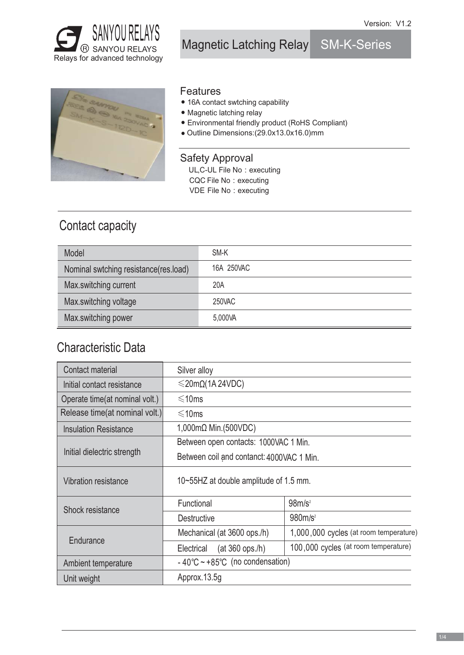

Magnetic Latching Relay SM-K-Series



### Features

- 16A contact swtching capability
- Magnetic latching relay
- Environmental friendly product (RoHS Compliant)
- Outline Dimensions:(29.0x13.0x16.0)mm

### Safety Approval

UL,C-UL File No : executing

- CQC File No : executing
- VDE File No : executing

# Contact capacity

| Model                                 | SM-K       |
|---------------------------------------|------------|
| Nominal swtching resistance(res.load) | 16A 250VAC |
| Max.switching current                 | 20A        |
| Max.switching voltage                 | 250VAC     |
| Max.switching power                   | 5,000VA    |

## Characteristic Data

| Contact material               | Silver alloy                               |                                        |  |  |  |
|--------------------------------|--------------------------------------------|----------------------------------------|--|--|--|
| Initial contact resistance     | $\leq$ 20m $\Omega$ (1A 24VDC)             |                                        |  |  |  |
| Operate time(at nominal volt.) | $\leq 10$ ms                               |                                        |  |  |  |
| Release time(at nominal volt.) | $\leq 10$ ms                               |                                        |  |  |  |
| <b>Insulation Resistance</b>   | 1,000mΩ Min.(500VDC)                       |                                        |  |  |  |
|                                | Between open contacts: 1000VAC 1 Min.      |                                        |  |  |  |
| Initial dielectric strength    | Between coil and contanct: 4000VAC 1 Min.  |                                        |  |  |  |
| Vibration resistance           | 10~55HZ at double amplitude of 1.5 mm.     |                                        |  |  |  |
| Shock resistance               | Functional                                 | 98m/s <sup>2</sup>                     |  |  |  |
|                                | <b>Destructive</b>                         | 980m/s <sup>2</sup>                    |  |  |  |
|                                | Mechanical (at 3600 ops./h)                | 1,000,000 cycles (at room temperature) |  |  |  |
| Endurance                      | $(at 360$ ops./h)<br>Electrical            | 100,000 cycles (at room temperature)   |  |  |  |
| Ambient temperature            | - $40^{\circ}$ C ~ +85°C (no condensation) |                                        |  |  |  |
| Unit weight                    | Approx.13.5g                               |                                        |  |  |  |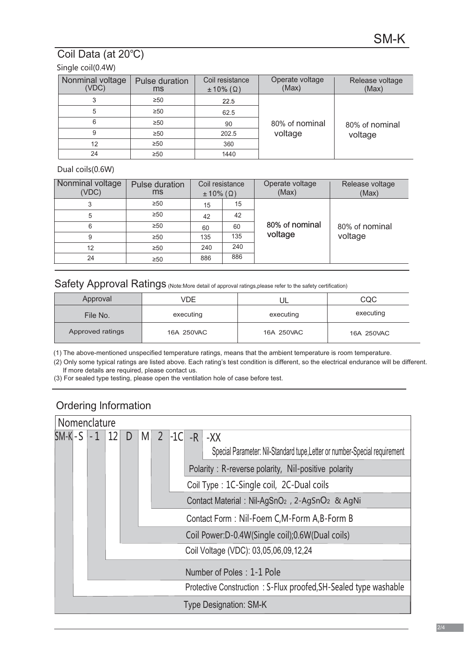## Coil Data (at 20℃)

### Single coil(0.4W)

| Nonminal voltage<br>(VDC) | Coil resistance<br>Pulse duration<br>$\pm 10\%$ ( $\Omega$ )<br>ms |      | Operate voltage<br>(Max) | Release voltage<br>(Max) |  |  |
|---------------------------|--------------------------------------------------------------------|------|--------------------------|--------------------------|--|--|
| 3                         | $\geq 50$                                                          | 22.5 |                          |                          |  |  |
| 5                         | $\geq 50$                                                          | 62.5 |                          |                          |  |  |
| 6                         | $\geq 50$                                                          | 90   | 80% of nominal           | 80% of nominal           |  |  |
| 9                         | $\geq 50$                                                          |      | voltage                  | voltage                  |  |  |
| 12                        | $\geq 50$                                                          | 360  |                          |                          |  |  |
| 24                        | $\geq 50$                                                          | 1440 |                          |                          |  |  |

#### Dual coils(0.6W)

| Nonminal voltage<br>(VDC) | Pulse duration<br>ms | $\pm 10\%$ ( $\Omega$ ) | Coil resistance | Operate voltage<br>(Max) | Release voltage<br>(Max) |
|---------------------------|----------------------|-------------------------|-----------------|--------------------------|--------------------------|
| 3                         | $\geq 50$            | 15                      | 15              |                          |                          |
| 5                         | $\geq 50$            | 42                      | 42              | 80% of nominal           | 80% of nominal           |
| 6                         | $\geq 50$            | 60                      | 60              |                          |                          |
| 9                         | $\geq 50$            | 135<br>135              |                 | voltage                  | voltage                  |
| 12                        | $\geq 50$            | 240                     | 240             |                          |                          |
| 24                        | $\geq 50$            | 886                     | 886             |                          |                          |

### Safety Approval Ratings (Note: More detail of approval ratings, please refer to the safety certification)

| Approval                       | VDE       | UL         | CQC        |
|--------------------------------|-----------|------------|------------|
| File No.                       | executing | executing  | executing  |
| Approved ratings<br>16A 250VAC |           | 16A 250VAC | 16A 250VAC |

(1) The above-mentioned unspecified temperature ratings, means that the ambient temperature is room temperature.

(2) Only some typical ratings are listed above. Each rating's test condition is different, so the electrical endurance will be different. If more details are required, please contact us.

(3) For sealed type testing, please open the ventilation hole of case before test.

## Ordering lnformation

| Nomenclature |                          |  |      |            |                                                                                                                                                                                                                                                                                                          |  |  |                                                                                          |                                                                                                                                |
|--------------|--------------------------|--|------|------------|----------------------------------------------------------------------------------------------------------------------------------------------------------------------------------------------------------------------------------------------------------------------------------------------------------|--|--|------------------------------------------------------------------------------------------|--------------------------------------------------------------------------------------------------------------------------------|
| SM-Kl-S      | $\overline{2}$<br>D<br>M |  | -1Cl | $-R$ $-XX$ | Special Parameter: Nil-Standard tupe, Letter or number-Special requirement<br>Polarity: R-reverse polarity, Nil-positive polarity<br>Coil Type: 1C-Single coil, 2C-Dual coils<br>Contact Material : Nil-AgSnO <sub>2</sub> , 2-AgSnO <sub>2</sub> & AgNi<br>Contact Form: Nil-Foem C, M-Form A, B-Form B |  |  |                                                                                          |                                                                                                                                |
|              |                          |  |      |            |                                                                                                                                                                                                                                                                                                          |  |  | Coil Power:D-0.4W(Single coil);0.6W(Dual coils)<br>Coil Voltage (VDC): 03,05,06,09,12,24 |                                                                                                                                |
|              |                          |  |      |            |                                                                                                                                                                                                                                                                                                          |  |  |                                                                                          | Number of Poles: 1-1 Pole<br>Protective Construction: S-Flux proofed, SH-Sealed type washable<br><b>Type Designation: SM-K</b> |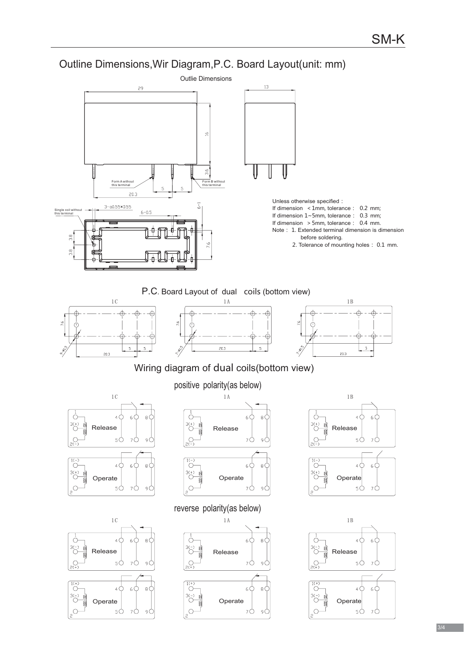